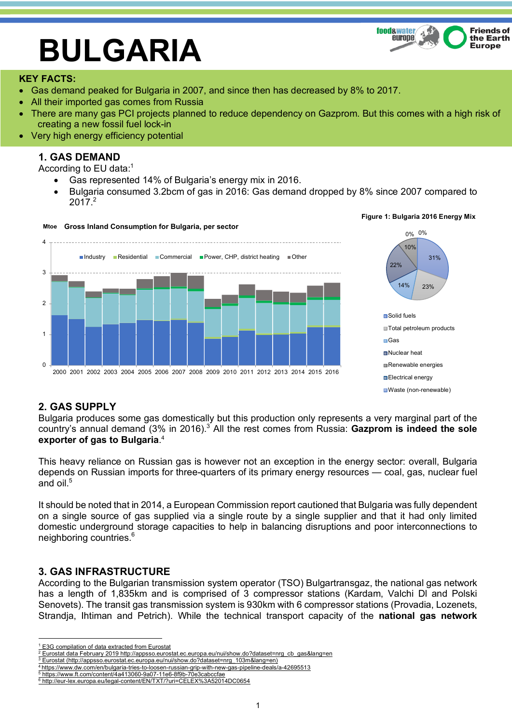# **BULGARIA**



#### **KEY FACTS:**

- Gas demand peaked for Bulgaria in 2007, and since then has decreased by 8% to 2017.
- All their imported gas comes from Russia
- There are many gas PCI projects planned to reduce dependency on Gazprom. But this comes with a high risk of creating a new fossil fuel lock-in
- Very high energy efficiency potential

### **1. GAS DEMAND**

According to EU data:<sup>1</sup>

- Gas represented 14% of Bulgaria's energy mix in 2016.
- Bulgaria consumed 3.2bcm of gas in 2016: Gas demand dropped by 8% since 2007 compared to 2017<sup>2</sup>



## **2. GAS SUPPLY**

Bulgaria produces some gas domestically but this production only represents a very marginal part of the country's annual demand (3% in 2016).3 All the rest comes from Russia: **Gazprom is indeed the sole exporter of gas to Bulgaria**. 4

This heavy reliance on Russian gas is however not an exception in the energy sector: overall, Bulgaria depends on Russian imports for three-quarters of its primary energy resources — coal, gas, nuclear fuel and oil.<sup>5</sup>

It should be noted that in 2014, a European Commission report cautioned that Bulgaria was fully dependent on a single source of gas supplied via a single route by a single supplier and that it had only limited domestic underground storage capacities to help in balancing disruptions and poor interconnections to neighboring countries.6

#### **3. GAS INFRASTRUCTURE**

According to the Bulgarian transmission system operator (TSO) Bulgartransgaz, the national gas network has a length of 1,835km and is comprised of 3 compressor stations (Kardam, Valchi Dl and Polski Senovets). The transit gas transmission system is 930km with 6 compressor stations (Provadia, Lozenets, Strandja, Ihtiman and Petrich). While the technical transport capacity of the **national gas network** 

#### **Figure 1: Bulgaria 2016 Energy Mix**

<sup>1</sup> **E3G compilation of data extracted from Eurostat** 

<sup>2</sup> Eurostat data February 2019 http://appsso.eurostat.ec.europa.eu/nui/show.do?dataset=nrg\_cb\_gas&lang=en<br>
3 Eurostat (http://appsso.eurostat.ec.europa.eu/nui/show.do?dataset=nrg\_103m&lang=en)

 $\frac{4 \text{ https://www.dw.com/en/bulgaria-tries-to-loosen-russian-grip-with-new-gas-pipeline-deals/a-42695513}}{5 \text{ https://www.tt.com/content/4a413060-9a07-11e6-8f9b-70e3cabccfae}}$ 

 $6$  http://eur-lex.europa.eu/legal-content/EN/TXT/?uri=CELEX%3A52014DC0654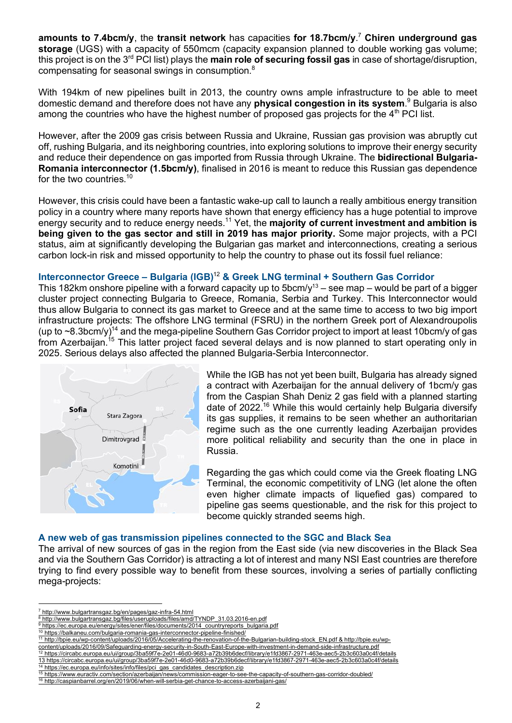**amounts to 7.4bcm/y**, the **transit network** has capacities **for 18.7bcm/y**. <sup>7</sup> **Chiren underground gas storage** (UGS) with a capacity of 550mcm (capacity expansion planned to double working gas volume; this project is on the 3rd PCI list) plays the **main role of securing fossil gas** in case of shortage/disruption, compensating for seasonal swings in consumption.<sup>8</sup>

With 194km of new pipelines built in 2013, the country owns ample infrastructure to be able to meet domestic demand and therefore does not have any **physical congestion in its system**. <sup>9</sup> Bulgaria is also among the countries who have the highest number of proposed gas projects for the  $4<sup>th</sup>$  PCI list.

However, after the 2009 gas crisis between Russia and Ukraine, Russian gas provision was abruptly cut off, rushing Bulgaria, and its neighboring countries, into exploring solutions to improve their energy security and reduce their dependence on gas imported from Russia through Ukraine. The **bidirectional Bulgaria-Romania interconnector (1.5bcm/y)**, finalised in 2016 is meant to reduce this Russian gas dependence for the two countries.<sup>10</sup>

However, this crisis could have been a fantastic wake-up call to launch a really ambitious energy transition policy in a country where many reports have shown that energy efficiency has a huge potential to improve energy security and to reduce energy needs.11 Yet, the **majority of current investment and ambition is being given to the gas sector and still in 2019 has major priority.** Some major projects, with a PCI status, aim at significantly developing the Bulgarian gas market and interconnections, creating a serious carbon lock-in risk and missed opportunity to help the country to phase out its fossil fuel reliance:

#### **Interconnector Greece – Bulgaria (IGB)**<sup>12</sup> **& Greek LNG terminal + Southern Gas Corridor**

This 182km onshore pipeline with a forward capacity up to  $5$ bcm/ $v^{13}$  – see map – would be part of a bigger cluster project connecting Bulgaria to Greece, Romania, Serbia and Turkey. This Interconnector would thus allow Bulgaria to connect its gas market to Greece and at the same time to access to two big import infrastructure projects: The offshore LNG terminal (FSRU) in the northern Greek port of Alexandroupolis (up to  $\sim$ 8.3bcm/y)<sup>14</sup> and the mega-pipeline Southern Gas Corridor project to import at least 10bcm/y of gas from Azerbaijan.<sup>15</sup> This latter project faced several delays and is now planned to start operating only in 2025. Serious delays also affected the planned Bulgaria-Serbia Interconnector.



While the IGB has not yet been built. Bulgaria has already signed a contract with Azerbaijan for the annual delivery of 1bcm/y gas from the Caspian Shah Deniz 2 gas field with a planned starting date of 2022. <sup>16</sup> While this would certainly help Bulgaria diversify its gas supplies, it remains to be seen whether an authoritarian regime such as the one currently leading Azerbaijan provides more political reliability and security than the one in place in Russia.

Regarding the gas which could come via the Greek floating LNG Terminal, the economic competitivity of LNG (let alone the often even higher climate impacts of liquefied gas) compared to pipeline gas seems questionable, and the risk for this project to become quickly stranded seems high.

#### **A new web of gas transmission pipelines connected to the SGC and Black Sea**

The arrival of new sources of gas in the region from the East side (via new discoveries in the Black Sea and via the Southern Gas Corridor) is attracting a lot of interest and many NSI East countries are therefore trying to find every possible way to benefit from these sources, involving a series of partially conflicting mega-projects:

<u>.</u>

<sup>7</sup> http://www.bulgartransgaz.bg/en/pages/gaz-infra-54.html

<sup>8</sup> http://www.bulgartransgaz.bg/files/useruploads/files/amd/TYNDP\_31.03.2016-en.pdf

<sup>9</sup> https://ec.europa.eu/energy/sites/ener/files/documents/2014\_countryreports\_bulgaria.pdf <sup>10</sup> https://balkaneu.com/bulgaria-romania-gas-interconnector-pipeline-finished/

<sup>11</sup> http://bpie.eu/wp-content/uploads/2016/05/Accelerating-the-renovation-of-the-Bulgarian-building-stock\_EN.pdf & http://bpie.eu/wp-

content/uploads/2016/09/Safequarding-energy-security-in-South-East-Europe-with-investment-in-demand-side-infrastructure.pdf<br>12 https://circabc.europa.eu/ui/group/3ba59f7e-2e01-46d0-9683-a72b39b6decf/library/e1fd3867-2971-4 13 https://circabc.europa.eu/ui/group/3ba59f7e-2e01-46d0-9683-a72b39b6decf/library/e1fd3867-2971-463e-aec5-2b3c603a0c4f/details

<sup>&</sup>lt;sup>14</sup> https://ec.europa.eu/info/sites/info/files/pci\_gas\_candidates\_description.zip

<sup>15</sup> https://www.euractiv.com/section/azerbaijan/news/commission-eager-to-see-the-capacity-of-southern-gas-

<sup>16</sup> http://caspianbarrel.org/en/2019/06/when-will-serbia-get-chance-to-access-azerbaijani-gas/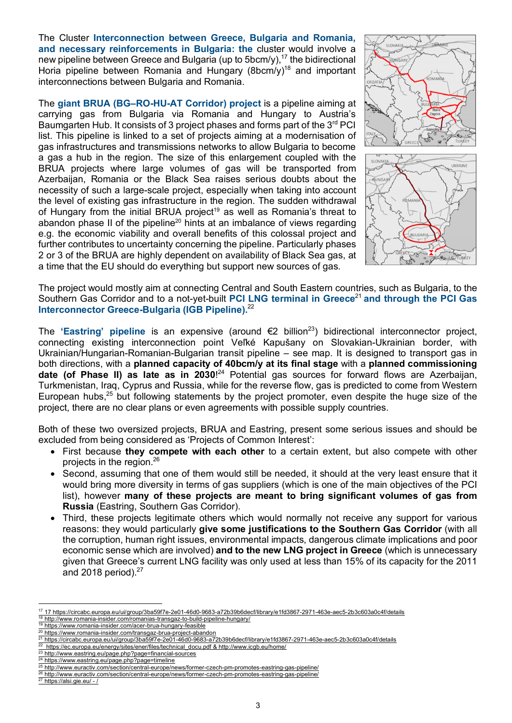The Cluster **Interconnection between Greece, Bulgaria and Romania, and necessary reinforcements in Bulgaria: the** cluster would involve a new pipeline between Greece and Bulgaria (up to 5bcm/y),<sup>17</sup> the bidirectional Horia pipeline between Romania and Hungary (8bcm/y)<sup>18</sup> and important interconnections between Bulgaria and Romania.

The **giant BRUA (BG–RO-HU-AT Corridor) project** is a pipeline aiming at carrying gas from Bulgaria via Romania and Hungary to Austria's Baumgarten Hub. It consists of 3 project phases and forms part of the 3<sup>rd</sup> PCI list. This pipeline is linked to a set of projects aiming at a modernisation of gas infrastructures and transmissions networks to allow Bulgaria to become a gas a hub in the region. The size of this enlargement coupled with the BRUA projects where large volumes of gas will be transported from Azerbaijan, Romania or the Black Sea raises serious doubts about the necessity of such a large-scale project, especially when taking into account the level of existing gas infrastructure in the region. The sudden withdrawal of Hungary from the initial BRUA project<sup>19</sup> as well as Romania's threat to abandon phase II of the pipeline<sup>20</sup> hints at an imbalance of views regarding e.g. the economic viability and overall benefits of this colossal project and further contributes to uncertainty concerning the pipeline. Particularly phases 2 or 3 of the BRUA are highly dependent on availability of Black Sea gas, at a time that the EU should do everything but support new sources of gas.



The project would mostly aim at connecting Central and South Eastern countries, such as Bulgaria, to the Southern Gas Corridor and to a not-yet-built **PCI LNG terminal in Greece**<sup>21</sup> **and through the PCI Gas Interconnector Greece-Bulgaria (IGB Pipeline).**<sup>22</sup>

The 'Eastring' pipeline is an expensive (around €2 billion<sup>23</sup>) bidirectional interconnector project, connecting existing interconnection point Veľké Kapušany on Slovakian-Ukrainian border, with Ukrainian/Hungarian-Romanian-Bulgarian transit pipeline – see map. It is designed to transport gas in both directions, with a **planned capacity of 40bcm/y at its final stage** with a **planned commissioning date (of Phase II) as late as in 2030**! <sup>24</sup> Potential gas sources for forward flows are Azerbaijan, Turkmenistan, Iraq, Cyprus and Russia, while for the reverse flow, gas is predicted to come from Western European hubs,<sup>25</sup> but following statements by the project promoter, even despite the huge size of the project, there are no clear plans or even agreements with possible supply countries.

Both of these two oversized projects, BRUA and Eastring, present some serious issues and should be excluded from being considered as 'Projects of Common Interest':

- First because **they compete with each other** to a certain extent, but also compete with other projects in the region. 26
- Second, assuming that one of them would still be needed, it should at the very least ensure that it would bring more diversity in terms of gas suppliers (which is one of the main objectives of the PCI list), however **many of these projects are meant to bring significant volumes of gas from Russia** (Eastring, Southern Gas Corridor).
- Third, these projects legitimate others which would normally not receive any support for various reasons: they would particularly **give some justifications to the Southern Gas Corridor** (with all the corruption, human right issues, environmental impacts, dangerous climate implications and poor economic sense which are involved) **and to the new LNG project in Greece** (which is unnecessary given that Greece's current LNG facility was only used at less than 15% of its capacity for the 2011 and 2018 period). $27$

<u>.</u>

<sup>17</sup> 17 https://circabc.europa.eu/ui/group/3ba59f7e-2e01-46d0-9683-a72b39b6decf/library/e1fd3867-2971-463e-aec5-2b3c603a0c4f/details

<sup>18</sup> http://www.romania-insider.com/romanias-transgaz-to-build-pipeline-hungary/

<sup>19</sup> https://www.romania-insider.com/acer-brua-hungary-feasible 20 https://www.romania-insider.com/transgaz-brua-project-abandon

<sup>21</sup> https://circabc.europa.eu/ui/group/3ba59f7e-2e01-46d0-9683-a72b39b6decf/library/e1fd3867-2971-463e-aec5-2b3c603a0c4f/details

<sup>22</sup> https://ec.europa.eu/energy/sites/ener/files/technical\_docu.pdf & http://www.icgb.eu/home/ 23 http://www.eastring.eu/page.php?page=financial-sources

<sup>24</sup> https://www.eastring.eu/page.php?page=timeline

<sup>25</sup> http://www.euractiv.com/section/central-europe/news/former-czech-pm-promotes-eastring-gas-pipeline/

<sup>26</sup> http://www.curactiv.com/section/central-europe/news/former-czech-pm-promotes-eastring-gas-pipeline/<br>26 http://www.euractiv.com/section/central-europe/news/former-czech-pm-promotes-eastring-gas-pipeline/

<sup>27</sup> https://alsi.gie.eu/ - /